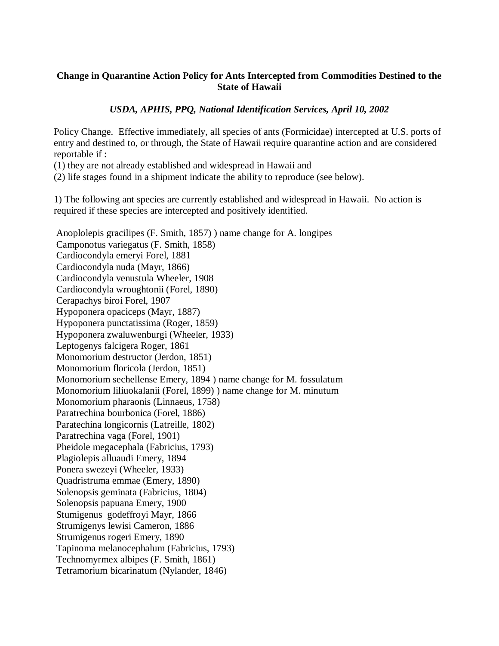## **Change in Quarantine Action Policy for Ants Intercepted from Commodities Destined to the State of Hawaii**

## *USDA, APHIS, PPQ, National Identification Services, April 10, 2002*

Policy Change. Effective immediately, all species of ants (Formicidae) intercepted at U.S. ports of entry and destined to, or through, the State of Hawaii require quarantine action and are considered reportable if :

(1) they are not already established and widespread in Hawaii and

(2) life stages found in a shipment indicate the ability to reproduce (see below).

1) The following ant species are currently established and widespread in Hawaii. No action is required if these species are intercepted and positively identified.

Anoplolepis gracilipes (F. Smith, 1857) ) name change for A. longipes Camponotus variegatus (F. Smith, 1858) Cardiocondyla emeryi Forel, 1881 Cardiocondyla nuda (Mayr, 1866) Cardiocondyla venustula Wheeler, 1908 Cardiocondyla wroughtonii (Forel, 1890) Cerapachys biroi Forel, 1907 Hypoponera opaciceps (Mayr, 1887) Hypoponera punctatissima (Roger, 1859) Hypoponera zwaluwenburgi (Wheeler, 1933) Leptogenys falcigera Roger, 1861 Monomorium destructor (Jerdon, 1851) Monomorium floricola (Jerdon, 1851) Monomorium sechellense Emery, 1894 ) name change for M. fossulatum Monomorium liliuokalanii (Forel, 1899) ) name change for M. minutum Monomorium pharaonis (Linnaeus, 1758) Paratrechina bourbonica (Forel, 1886) Paratechina longicornis (Latreille, 1802) Paratrechina vaga (Forel, 1901) Pheidole megacephala (Fabricius, 1793) Plagiolepis alluaudi Emery, 1894 Ponera swezeyi (Wheeler, 1933) Quadristruma emmae (Emery, 1890) Solenopsis geminata (Fabricius, 1804) Solenopsis papuana Emery, 1900 Stumigenus godeffroyi Mayr, 1866 Strumigenys lewisi Cameron, 1886 Strumigenus rogeri Emery, 1890 Tapinoma melanocephalum (Fabricius, 1793) Technomyrmex albipes (F. Smith, 1861) Tetramorium bicarinatum (Nylander, 1846)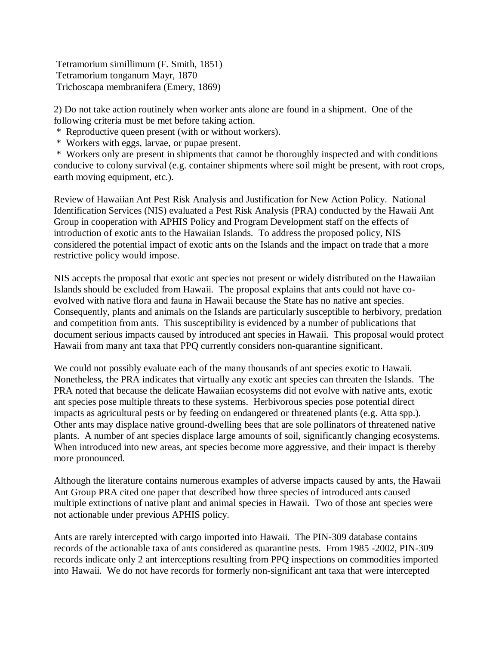Tetramorium simillimum (F. Smith, 1851) Tetramorium tonganum Mayr, 1870 Trichoscapa membranifera (Emery, 1869)

2) Do not take action routinely when worker ants alone are found in a shipment. One of the following criteria must be met before taking action.

\* Reproductive queen present (with or without workers).

\* Workers with eggs, larvae, or pupae present.

\* Workers only are present in shipments that cannot be thoroughly inspected and with conditions conducive to colony survival (e.g. container shipments where soil might be present, with root crops, earth moving equipment, etc.).

Review of Hawaiian Ant Pest Risk Analysis and Justification for New Action Policy. National Identification Services (NIS) evaluated a Pest Risk Analysis (PRA) conducted by the Hawaii Ant Group in cooperation with APHIS Policy and Program Development staff on the effects of introduction of exotic ants to the Hawaiian Islands. To address the proposed policy, NIS considered the potential impact of exotic ants on the Islands and the impact on trade that a more restrictive policy would impose.

NIS accepts the proposal that exotic ant species not present or widely distributed on the Hawaiian Islands should be excluded from Hawaii. The proposal explains that ants could not have coevolved with native flora and fauna in Hawaii because the State has no native ant species. Consequently, plants and animals on the Islands are particularly susceptible to herbivory, predation and competition from ants. This susceptibility is evidenced by a number of publications that document serious impacts caused by introduced ant species in Hawaii. This proposal would protect Hawaii from many ant taxa that PPQ currently considers non-quarantine significant.

We could not possibly evaluate each of the many thousands of ant species exotic to Hawaii. Nonetheless, the PRA indicates that virtually any exotic ant species can threaten the Islands. The PRA noted that because the delicate Hawaiian ecosystems did not evolve with native ants, exotic ant species pose multiple threats to these systems. Herbivorous species pose potential direct impacts as agricultural pests or by feeding on endangered or threatened plants (e.g. Atta spp.). Other ants may displace native ground-dwelling bees that are sole pollinators of threatened native plants. A number of ant species displace large amounts of soil, significantly changing ecosystems. When introduced into new areas, ant species become more aggressive, and their impact is thereby more pronounced.

Although the literature contains numerous examples of adverse impacts caused by ants, the Hawaii Ant Group PRA cited one paper that described how three species of introduced ants caused multiple extinctions of native plant and animal species in Hawaii. Two of those ant species were not actionable under previous APHIS policy.

Ants are rarely intercepted with cargo imported into Hawaii. The PIN-309 database contains records of the actionable taxa of ants considered as quarantine pests. From 1985 -2002, PIN-309 records indicate only 2 ant interceptions resulting from PPQ inspections on commodities imported into Hawaii. We do not have records for formerly non-significant ant taxa that were intercepted